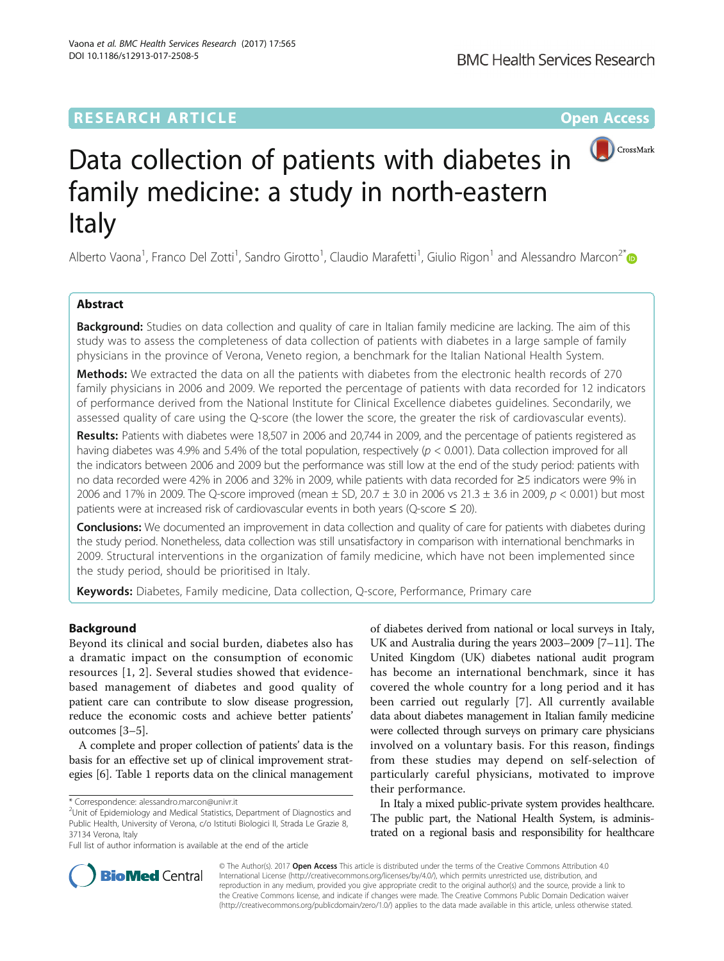# **RESEARCH ARTICLE Example 2014 12:30 The Contract of Contract ACCESS**



# Data collection of patients with diabetes in family medicine: a study in north-eastern Italy

Alberto Vaona<sup>1</sup>, Franco Del Zotti<sup>1</sup>, Sandro Girotto<sup>1</sup>, Claudio Marafetti<sup>1</sup>, Giulio Rigon<sup>1</sup> and Alessandro Marcon<sup>2\*</sup>

# Abstract

**Background:** Studies on data collection and quality of care in Italian family medicine are lacking. The aim of this study was to assess the completeness of data collection of patients with diabetes in a large sample of family physicians in the province of Verona, Veneto region, a benchmark for the Italian National Health System.

**Methods:** We extracted the data on all the patients with diabetes from the electronic health records of 270 family physicians in 2006 and 2009. We reported the percentage of patients with data recorded for 12 indicators of performance derived from the National Institute for Clinical Excellence diabetes guidelines. Secondarily, we assessed quality of care using the Q-score (the lower the score, the greater the risk of cardiovascular events).

Results: Patients with diabetes were 18,507 in 2006 and 20,744 in 2009, and the percentage of patients registered as having diabetes was 4.9% and 5.4% of the total population, respectively ( $p < 0.001$ ). Data collection improved for all the indicators between 2006 and 2009 but the performance was still low at the end of the study period: patients with no data recorded were 42% in 2006 and 32% in 2009, while patients with data recorded for ≥5 indicators were 9% in 2006 and 17% in 2009. The Q-score improved (mean  $\pm$  SD, 20.7  $\pm$  3.0 in 2006 vs 21.3  $\pm$  3.6 in 2009,  $p < 0.001$ ) but most patients were at increased risk of cardiovascular events in both years (Q-score  $\leq$  20).

**Conclusions:** We documented an improvement in data collection and quality of care for patients with diabetes during the study period. Nonetheless, data collection was still unsatisfactory in comparison with international benchmarks in 2009. Structural interventions in the organization of family medicine, which have not been implemented since the study period, should be prioritised in Italy.

Keywords: Diabetes, Family medicine, Data collection, Q-score, Performance, Primary care

# Background

Beyond its clinical and social burden, diabetes also has a dramatic impact on the consumption of economic resources [[1, 2](#page-7-0)]. Several studies showed that evidencebased management of diabetes and good quality of patient care can contribute to slow disease progression, reduce the economic costs and achieve better patients' outcomes [\[3](#page-7-0)–[5\]](#page-7-0).

A complete and proper collection of patients' data is the basis for an effective set up of clinical improvement strategies [\[6\]](#page-7-0). Table [1](#page-1-0) reports data on the clinical management

 $2$ Unit of Epidemiology and Medical Statistics, Department of Diagnostics and Public Health, University of Verona, c/o Istituti Biologici II, Strada Le Grazie 8, 37134 Verona, Italy

Full list of author information is available at the end of the article

of diabetes derived from national or local surveys in Italy, UK and Australia during the years 2003–2009 [\[7](#page-7-0)–[11\]](#page-7-0). The United Kingdom (UK) diabetes national audit program has become an international benchmark, since it has covered the whole country for a long period and it has been carried out regularly [\[7](#page-7-0)]. All currently available data about diabetes management in Italian family medicine were collected through surveys on primary care physicians involved on a voluntary basis. For this reason, findings from these studies may depend on self-selection of particularly careful physicians, motivated to improve their performance.

In Italy a mixed public-private system provides healthcare. The public part, the National Health System, is administrated on a regional basis and responsibility for healthcare



© The Author(s). 2017 **Open Access** This article is distributed under the terms of the Creative Commons Attribution 4.0 International License [\(http://creativecommons.org/licenses/by/4.0/](http://creativecommons.org/licenses/by/4.0/)), which permits unrestricted use, distribution, and reproduction in any medium, provided you give appropriate credit to the original author(s) and the source, provide a link to the Creative Commons license, and indicate if changes were made. The Creative Commons Public Domain Dedication waiver [\(http://creativecommons.org/publicdomain/zero/1.0/](http://creativecommons.org/publicdomain/zero/1.0/)) applies to the data made available in this article, unless otherwise stated.

<sup>\*</sup> Correspondence: [alessandro.marcon@univr.it](mailto:alessandro.marcon@univr.it) <sup>2</sup>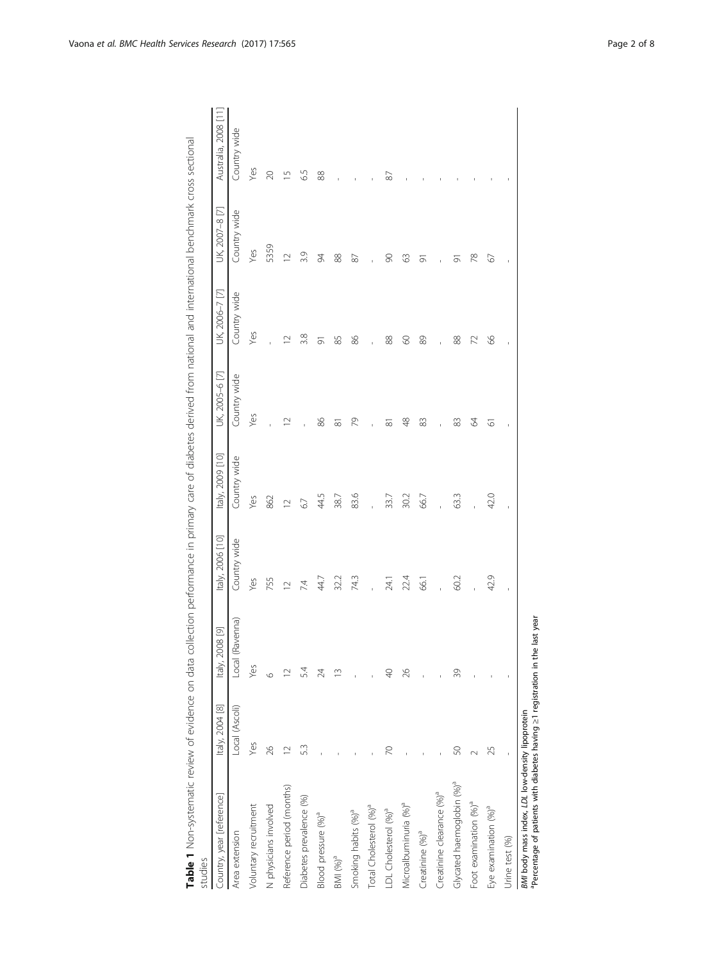<span id="page-1-0"></span>

| Country, year [reference]             | Italy, 2004 [8] | Italy, 2008 [9] | Italy, 2006 [10] | Italy, 2009 [10] | UK, 2005-6 [7]      | UK, 2006-7 [7] | UK, 2007-8 [7] | Australia, 2008 [11] |
|---------------------------------------|-----------------|-----------------|------------------|------------------|---------------------|----------------|----------------|----------------------|
| Area extension                        | Local (Ascoli)  | Local (Ravenna) | Country wide     | Country wide     | Country wide        | Country wide   | Country wide   | Country wide         |
| Voluntary recruitment                 | Yes             | Yes             | Yes              | Yes              | Yes                 | Yes            | Yes            | Yes                  |
| N physicians involved                 | 26              | $\circ$         | 755              | 862              |                     |                | 5359           | $\infty$             |
| Reference period (months)             | $\supseteq$     | $\sim$          | $\overline{C}$   | $\sim$           | $\supseteq$         | $\supseteq$    | $\overline{C}$ | 5                    |
| Diabetes prevalence (%)               | 53              | 54              | 74               | 67               |                     | 3.8            | 3.9            | 6.5                  |
| Blood pressure (%) <sup>ª</sup>       |                 | 24              | 44.7             | 44.5             | 86                  | 능              | 54             | 88                   |
| BMI $(%)^a$                           |                 | m               | 32.2             | 38.7             | $\overline{\infty}$ | 85             | 88             |                      |
| Smoking habits (%) <sup>a</sup>       |                 |                 | 743              | 83.6             | 79                  | 86             | 87             |                      |
| Total Cholesterol (%) <sup>ª</sup>    |                 |                 |                  |                  |                     |                |                |                      |
| LDL Cholesterol (%) <sup>a</sup>      | R               | $\frac{1}{4}$   | 24.1             | 33.7             | ಹ                   | 88             | $\infty$       | 87                   |
| Microalbuminuria (%) <sup>ª</sup>     |                 | 26              | 22.4             | 30.2             | 48                  | 8              | 3              |                      |
| Creatinine (%) <sup>a</sup>           |                 |                 | 66.1             | 66.7             | 83                  | 89             | $\overline{5}$ |                      |
| Creatinine clearance (%) <sup>ª</sup> |                 |                 |                  |                  | ï                   |                |                |                      |
| Glycated haemoglobin (%) <sup>ª</sup> | 50              | 39              | 60.2             | 63.3             | 83                  | 88             | 5              |                      |
| Foot examination (%) <sup>a</sup>     | $\sim$          |                 |                  |                  | 2                   | 72             | $\approx$      |                      |
| Eye examination (%) <sup>a</sup>      | 25              |                 | 42.9             | 42.0             | 5                   | 8 <sup>o</sup> | 67             |                      |
| Urine test (%)                        |                 |                 | f,               |                  |                     |                | $\mathbf{I}$   |                      |

Table 1 Non-systematic review of evidence on data collection performance in primary care of diabetes derived from national and international benchmark cross sectional Table 1 Non-systematic revidence on data collection performance in primary care of diabetes derived from national and international benchmark cross sectional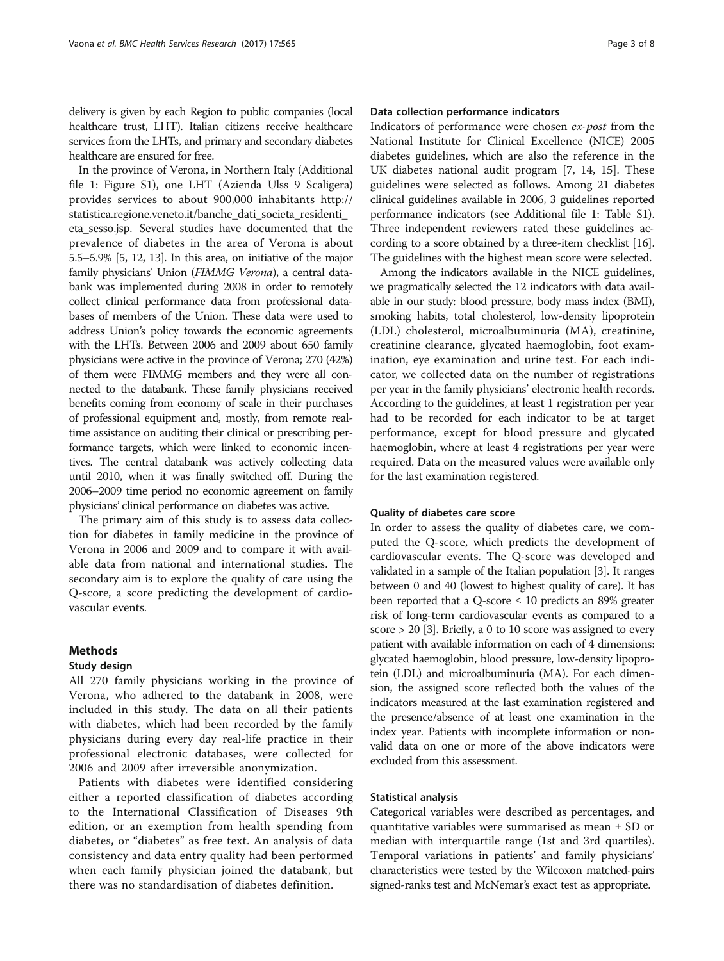delivery is given by each Region to public companies (local healthcare trust, LHT). Italian citizens receive healthcare services from the LHTs, and primary and secondary diabetes healthcare are ensured for free.

In the province of Verona, in Northern Italy (Additional file [1:](#page-6-0) Figure S1), one LHT (Azienda Ulss 9 Scaligera) provides services to about 900,000 inhabitants [http://](http://statistica.regione.veneto.it/banche_dati_societa_residenti_eta_sesso.jsp) [statistica.regione.veneto.it/banche\\_dati\\_societa\\_residenti\\_](http://statistica.regione.veneto.it/banche_dati_societa_residenti_eta_sesso.jsp) [eta\\_sesso.jsp.](http://statistica.regione.veneto.it/banche_dati_societa_residenti_eta_sesso.jsp) Several studies have documented that the prevalence of diabetes in the area of Verona is about 5.5–5.9% [\[5, 12, 13](#page-7-0)]. In this area, on initiative of the major family physicians' Union (FIMMG Verona), a central databank was implemented during 2008 in order to remotely collect clinical performance data from professional databases of members of the Union. These data were used to address Union's policy towards the economic agreements with the LHTs. Between 2006 and 2009 about 650 family physicians were active in the province of Verona; 270 (42%) of them were FIMMG members and they were all connected to the databank. These family physicians received benefits coming from economy of scale in their purchases of professional equipment and, mostly, from remote realtime assistance on auditing their clinical or prescribing performance targets, which were linked to economic incentives. The central databank was actively collecting data until 2010, when it was finally switched off. During the 2006–2009 time period no economic agreement on family physicians' clinical performance on diabetes was active.

The primary aim of this study is to assess data collection for diabetes in family medicine in the province of Verona in 2006 and 2009 and to compare it with available data from national and international studies. The secondary aim is to explore the quality of care using the Q-score, a score predicting the development of cardiovascular events.

# **Methods**

## Study design

All 270 family physicians working in the province of Verona, who adhered to the databank in 2008, were included in this study. The data on all their patients with diabetes, which had been recorded by the family physicians during every day real-life practice in their professional electronic databases, were collected for 2006 and 2009 after irreversible anonymization.

Patients with diabetes were identified considering either a reported classification of diabetes according to the International Classification of Diseases 9th edition, or an exemption from health spending from diabetes, or "diabetes" as free text. An analysis of data consistency and data entry quality had been performed when each family physician joined the databank, but there was no standardisation of diabetes definition.

# Data collection performance indicators

Indicators of performance were chosen ex-post from the National Institute for Clinical Excellence (NICE) 2005 diabetes guidelines, which are also the reference in the UK diabetes national audit program [\[7](#page-7-0), [14, 15](#page-7-0)]. These guidelines were selected as follows. Among 21 diabetes clinical guidelines available in 2006, 3 guidelines reported performance indicators (see Additional file [1](#page-6-0): Table S1). Three independent reviewers rated these guidelines according to a score obtained by a three-item checklist [[16](#page-7-0)]. The guidelines with the highest mean score were selected.

Among the indicators available in the NICE guidelines, we pragmatically selected the 12 indicators with data available in our study: blood pressure, body mass index (BMI), smoking habits, total cholesterol, low-density lipoprotein (LDL) cholesterol, microalbuminuria (MA), creatinine, creatinine clearance, glycated haemoglobin, foot examination, eye examination and urine test. For each indicator, we collected data on the number of registrations per year in the family physicians' electronic health records. According to the guidelines, at least 1 registration per year had to be recorded for each indicator to be at target performance, except for blood pressure and glycated haemoglobin, where at least 4 registrations per year were required. Data on the measured values were available only for the last examination registered.

### Quality of diabetes care score

In order to assess the quality of diabetes care, we computed the Q-score, which predicts the development of cardiovascular events. The Q-score was developed and validated in a sample of the Italian population [[3](#page-7-0)]. It ranges between 0 and 40 (lowest to highest quality of care). It has been reported that a Q-score  $\leq 10$  predicts an 89% greater risk of long-term cardiovascular events as compared to a score  $> 20$  [\[3\]](#page-7-0). Briefly, a 0 to 10 score was assigned to every patient with available information on each of 4 dimensions: glycated haemoglobin, blood pressure, low-density lipoprotein (LDL) and microalbuminuria (MA). For each dimension, the assigned score reflected both the values of the indicators measured at the last examination registered and the presence/absence of at least one examination in the index year. Patients with incomplete information or nonvalid data on one or more of the above indicators were excluded from this assessment.

#### Statistical analysis

Categorical variables were described as percentages, and quantitative variables were summarised as mean ± SD or median with interquartile range (1st and 3rd quartiles). Temporal variations in patients' and family physicians' characteristics were tested by the Wilcoxon matched-pairs signed-ranks test and McNemar's exact test as appropriate.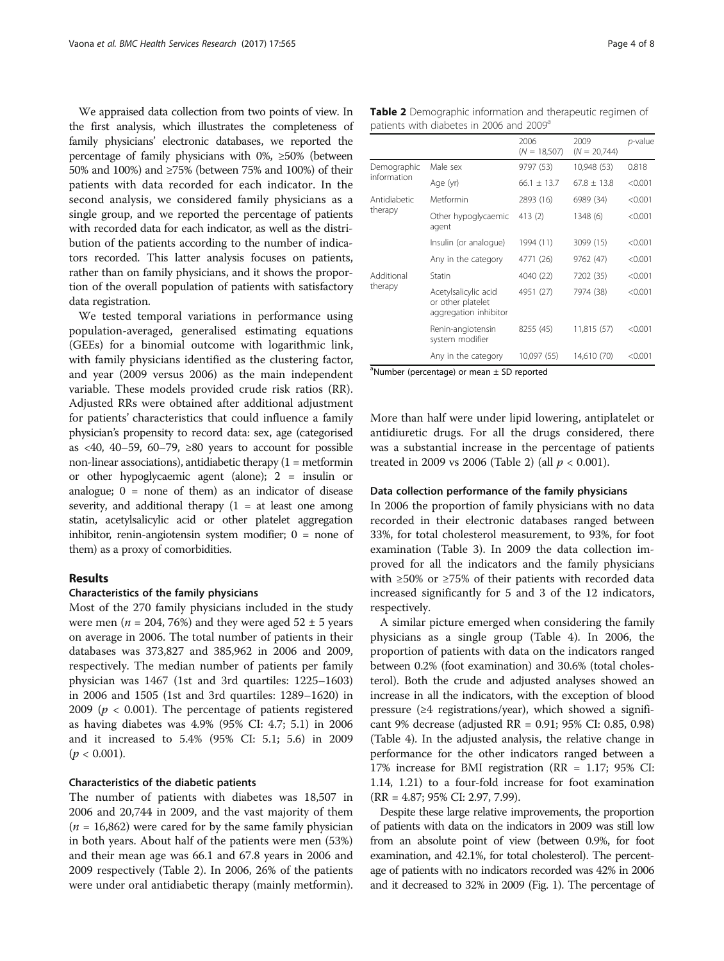We appraised data collection from two points of view. In the first analysis, which illustrates the completeness of family physicians' electronic databases, we reported the percentage of family physicians with 0%, ≥50% (between 50% and 100%) and ≥75% (between 75% and 100%) of their patients with data recorded for each indicator. In the second analysis, we considered family physicians as a single group, and we reported the percentage of patients with recorded data for each indicator, as well as the distribution of the patients according to the number of indicators recorded. This latter analysis focuses on patients, rather than on family physicians, and it shows the proportion of the overall population of patients with satisfactory data registration.

We tested temporal variations in performance using population-averaged, generalised estimating equations (GEEs) for a binomial outcome with logarithmic link, with family physicians identified as the clustering factor, and year (2009 versus 2006) as the main independent variable. These models provided crude risk ratios (RR). Adjusted RRs were obtained after additional adjustment for patients' characteristics that could influence a family physician's propensity to record data: sex, age (categorised as <40, 40–59, 60–79,  $\geq 80$  years to account for possible non-linear associations), antidiabetic therapy  $(1 = \text{metformin})$ or other hypoglycaemic agent (alone); 2 = insulin or analogue;  $0 =$  none of them) as an indicator of disease severity, and additional therapy  $(1 = at least one among)$ statin, acetylsalicylic acid or other platelet aggregation inhibitor, renin-angiotensin system modifier;  $0 =$  none of them) as a proxy of comorbidities.

# Results

#### Characteristics of the family physicians

Most of the 270 family physicians included in the study were men ( $n = 204, 76\%$ ) and they were aged  $52 \pm 5$  years on average in 2006. The total number of patients in their databases was 373,827 and 385,962 in 2006 and 2009, respectively. The median number of patients per family physician was 1467 (1st and 3rd quartiles: 1225–1603) in 2006 and 1505 (1st and 3rd quartiles: 1289–1620) in 2009 ( $p < 0.001$ ). The percentage of patients registered as having diabetes was 4.9% (95% CI: 4.7; 5.1) in 2006 and it increased to 5.4% (95% CI: 5.1; 5.6) in 2009  $(p < 0.001)$ .

# Characteristics of the diabetic patients

The number of patients with diabetes was 18,507 in 2006 and 20,744 in 2009, and the vast majority of them ( $n = 16,862$ ) were cared for by the same family physician in both years. About half of the patients were men (53%) and their mean age was 66.1 and 67.8 years in 2006 and 2009 respectively (Table 2). In 2006, 26% of the patients were under oral antidiabetic therapy (mainly metformin). Table 2 Demographic information and therapeutic regimen of patients with diabetes in 2006 and 2009<sup>a</sup>

|                            |                                                                    | 2006<br>$(N = 18,507)$ | 2009<br>$(N = 20.744)$ | <i>p</i> -value |
|----------------------------|--------------------------------------------------------------------|------------------------|------------------------|-----------------|
| Demographic<br>information | Male sex                                                           | 9797 (53)              | 10,948 (53)            | 0.818           |
|                            | Age (yr)                                                           | $66.1 \pm 13.7$        | $67.8 + 13.8$          | < 0.001         |
| Antidiabetic<br>therapy    | Metformin                                                          | 2893 (16)              | 6989 (34)              | < 0.001         |
|                            | Other hypoglycaemic<br>agent                                       | 413 (2)                | 1348 (6)               | < 0.001         |
|                            | Insulin (or analoque)                                              | 1994 (11)              | 3099 (15)              | < 0.001         |
|                            | Any in the category                                                | 4771 (26)              | 9762 (47)              | < 0.001         |
| Additional<br>therapy      | Statin                                                             | 4040 (22)              | 7202 (35)              | < 0.001         |
|                            | Acetylsalicylic acid<br>or other platelet<br>aggregation inhibitor | 4951 (27)              | 7974 (38)              | < 0.001         |
|                            | Renin-angiotensin<br>system modifier                               | 8255 (45)              | 11,815 (57)            | < 0.001         |
|                            | Any in the category                                                | 10,097 (55)            | 14,610 (70)            | < 0.001         |

<sup>a</sup>Number (percentage) or mean ± SD reported

More than half were under lipid lowering, antiplatelet or antidiuretic drugs. For all the drugs considered, there was a substantial increase in the percentage of patients treated in 2009 vs 2006 (Table 2) (all  $p < 0.001$ ).

#### Data collection performance of the family physicians

In 2006 the proportion of family physicians with no data recorded in their electronic databases ranged between 33%, for total cholesterol measurement, to 93%, for foot examination (Table [3](#page-4-0)). In 2009 the data collection improved for all the indicators and the family physicians with ≥50% or ≥75% of their patients with recorded data increased significantly for 5 and 3 of the 12 indicators, respectively.

A similar picture emerged when considering the family physicians as a single group (Table [4](#page-4-0)). In 2006, the proportion of patients with data on the indicators ranged between 0.2% (foot examination) and 30.6% (total cholesterol). Both the crude and adjusted analyses showed an increase in all the indicators, with the exception of blood pressure (≥4 registrations/year), which showed a significant 9% decrease (adjusted RR = 0.91; 95% CI: 0.85, 0.98) (Table [4](#page-4-0)). In the adjusted analysis, the relative change in performance for the other indicators ranged between a 17% increase for BMI registration (RR = 1.17; 95% CI: 1.14, 1.21) to a four-fold increase for foot examination (RR = 4.87; 95% CI: 2.97, 7.99).

Despite these large relative improvements, the proportion of patients with data on the indicators in 2009 was still low from an absolute point of view (between 0.9%, for foot examination, and 42.1%, for total cholesterol). The percentage of patients with no indicators recorded was 42% in 2006 and it decreased to 32% in 2009 (Fig. [1](#page-5-0)). The percentage of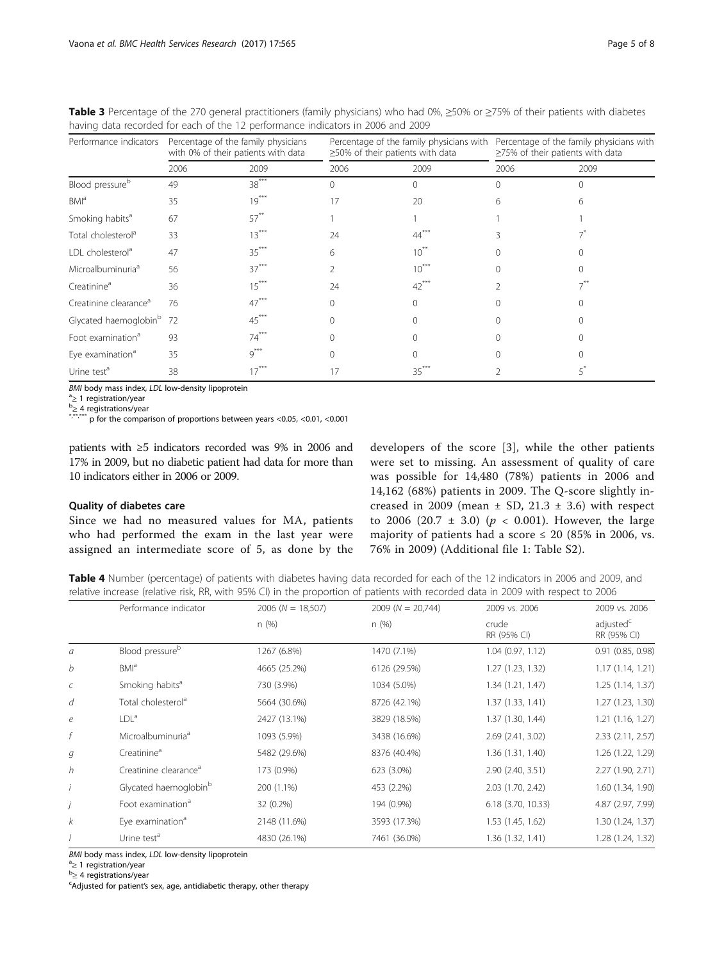| Performance indicators               | Percentage of the family physicians<br>with 0% of their patients with data |         | Percentage of the family physicians with<br>≥50% of their patients with data |              | Percentage of the family physicians with<br>$\geq$ 75% of their patients with data |      |
|--------------------------------------|----------------------------------------------------------------------------|---------|------------------------------------------------------------------------------|--------------|------------------------------------------------------------------------------------|------|
|                                      | 2006                                                                       | 2009    | 2006                                                                         | 2009         | 2006                                                                               | 2009 |
| Blood pressure <sup>b</sup>          | 49                                                                         | $38***$ |                                                                              |              |                                                                                    |      |
| BMI <sup>a</sup>                     | 35                                                                         | $19***$ | 17                                                                           | 20           |                                                                                    |      |
| Smoking habits <sup>a</sup>          | 67                                                                         | $57***$ |                                                                              |              |                                                                                    |      |
| Total cholesterol <sup>a</sup>       | 33                                                                         | $13***$ | 24                                                                           | 44           |                                                                                    |      |
| LDL cholesterol <sup>a</sup>         | 47                                                                         | $35***$ | 6                                                                            | $10^{**}$    |                                                                                    |      |
| Microalbuminuria <sup>a</sup>        | 56                                                                         | $37***$ |                                                                              | $10^{\circ}$ |                                                                                    |      |
| Creatinine <sup>a</sup>              | 36                                                                         | $15***$ | 24                                                                           | $42***$      |                                                                                    |      |
| Creatinine clearance <sup>a</sup>    | 76                                                                         | $47***$ |                                                                              | $\cap$       |                                                                                    |      |
| Glycated haemoglobin <sup>b</sup> 72 |                                                                            | $45***$ |                                                                              |              |                                                                                    |      |
| Foot examination <sup>a</sup>        | 93                                                                         | $74***$ |                                                                              |              |                                                                                    |      |
| Eye examination <sup>a</sup>         | 35                                                                         | $9***$  |                                                                              |              |                                                                                    |      |
| Urine test <sup>a</sup>              | 38                                                                         |         |                                                                              | 35           |                                                                                    |      |

<span id="page-4-0"></span>Table 3 Percentage of the 270 general practitioners (family physicians) who had 0%, ≥50% or ≥75% of their patients with diabetes having data recorded for each of the 12 performance indicators in 2006 and 2009

BMI body mass index, LDL low-density lipoprotein  $a_{\geq 1}$  registration/year

 $b \geq 4$  registrations/year<br>\*\*\*\*\*\*\*  $\infty$  f

 $*$  p for the comparison of proportions between years <0.05, <0.01, <0.001

patients with ≥5 indicators recorded was 9% in 2006 and 17% in 2009, but no diabetic patient had data for more than 10 indicators either in 2006 or 2009.

# Quality of diabetes care

Since we had no measured values for MA, patients who had performed the exam in the last year were assigned an intermediate score of 5, as done by the developers of the score [[3\]](#page-7-0), while the other patients were set to missing. An assessment of quality of care was possible for 14,480 (78%) patients in 2006 and 14,162 (68%) patients in 2009. The Q-score slightly increased in 2009 (mean  $\pm$  SD, 21.3  $\pm$  3.6) with respect to 2006 (20.7  $\pm$  3.0) ( $p < 0.001$ ). However, the large majority of patients had a score  $\leq 20$  (85% in 2006, vs. 76% in 2009) (Additional file [1](#page-6-0): Table S2).

Table 4 Number (percentage) of patients with diabetes having data recorded for each of the 12 indicators in 2006 and 2009, and relative increase (relative risk, RR, with 95% CI) in the proportion of patients with recorded data in 2009 with respect to 2006

|                  | Performance indicator             | $2006 (N = 18,507)$ | $2009 (N = 20,744)$ | 2009 vs. 2006        | 2009 vs. 2006                        |
|------------------|-----------------------------------|---------------------|---------------------|----------------------|--------------------------------------|
|                  |                                   | n(%)                | n(%)                | crude<br>RR (95% CI) | adjusted <sup>c</sup><br>RR (95% CI) |
| a                | Blood pressure <sup>b</sup>       | 1267 (6.8%)         | 1470 (7.1%)         | $1.04$ (0.97, 1.12)  | 0.91 (0.85, 0.98)                    |
| b                | BM <sup>a</sup>                   | 4665 (25.2%)        | 6126 (29.5%)        | 1.27 (1.23, 1.32)    | 1.17(1.14, 1.21)                     |
| $\mathcal{C}$    | Smoking habits <sup>a</sup>       | 730 (3.9%)          | 1034 (5.0%)         | 1.34(1.21, 1.47)     | 1.25(1.14, 1.37)                     |
| d                | Total cholesterol <sup>a</sup>    | 5664 (30.6%)        | 8726 (42.1%)        | 1.37(1.33, 1.41)     | 1.27 (1.23, 1.30)                    |
| $\boldsymbol{e}$ | LDL <sup>a</sup>                  | 2427 (13.1%)        | 3829 (18.5%)        | 1.37 (1.30, 1.44)    | 1.21(1.16, 1.27)                     |
| f                | Microalbuminuria <sup>a</sup>     | 1093 (5.9%)         | 3438 (16.6%)        | 2.69 (2.41, 3.02)    | 2.33 (2.11, 2.57)                    |
| g                | Creatinine <sup>a</sup>           | 5482 (29.6%)        | 8376 (40.4%)        | 1.36 (1.31, 1.40)    | 1.26 (1.22, 1.29)                    |
| h                | Creatinine clearance <sup>a</sup> | 173 (0.9%)          | 623 (3.0%)          | 2.90 (2.40, 3.51)    | 2.27 (1.90, 2.71)                    |
|                  | Glycated haemoglobin <sup>b</sup> | 200 (1.1%)          | 453 (2.2%)          | 2.03 (1.70, 2.42)    | 1.60 (1.34, 1.90)                    |
|                  | Foot examination <sup>a</sup>     | 32 (0.2%)           | 194 (0.9%)          | 6.18 (3.70, 10.33)   | 4.87 (2.97, 7.99)                    |
| k                | Eye examination <sup>a</sup>      | 2148 (11.6%)        | 3593 (17.3%)        | 1.53(1.45, 1.62)     | 1.30 (1.24, 1.37)                    |
|                  | Urine test <sup>a</sup>           | 4830 (26.1%)        | 7461 (36.0%)        | 1.36(1.32, 1.41)     | 1.28 (1.24, 1.32)                    |

BMI body mass index, LDL low-density lipoprotein  $a_2$  1 registration/year

<sup>a</sup>≥ 1 registration/year<br><sup>b</sup>> 4 registrations/vea

 $\mu^{\text{B}}$ ≥ 4 registrations/year<br><sup>c</sup>Adjusted for patient's

Adjusted for patient's sex, age, antidiabetic therapy, other therapy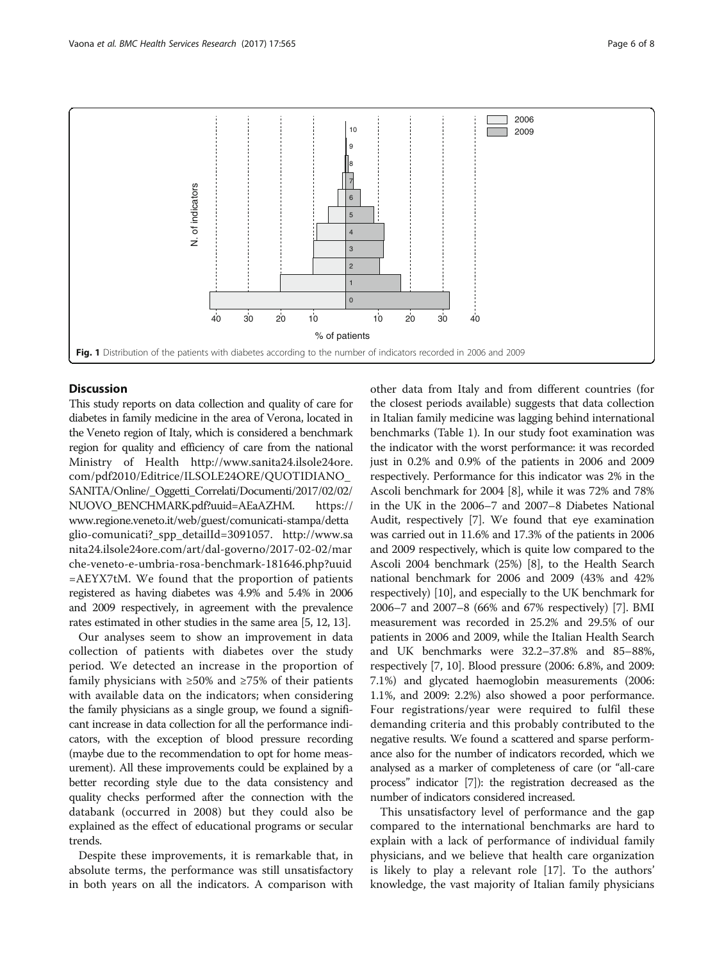<span id="page-5-0"></span>

# **Discussion**

This study reports on data collection and quality of care for diabetes in family medicine in the area of Verona, located in the Veneto region of Italy, which is considered a benchmark region for quality and efficiency of care from the national Ministry of Health [http://www.sanita24.ilsole24ore.](http://www.sanita24.ilsole24ore.com/pdf2010/Editrice/ILSOLE24ORE/QUOTIDIANO_SANITA/Online/_Oggetti_Correlati/Documenti/2017/02/02/NUOVO_BENCHMARK.pdf?uuid=AEaAZHM) [com/pdf2010/Editrice/ILSOLE24ORE/QUOTIDIANO\\_](http://www.sanita24.ilsole24ore.com/pdf2010/Editrice/ILSOLE24ORE/QUOTIDIANO_SANITA/Online/_Oggetti_Correlati/Documenti/2017/02/02/NUOVO_BENCHMARK.pdf?uuid=AEaAZHM) [SANITA/Online/\\_Oggetti\\_Correlati/Documenti/2017/02/02/](http://www.sanita24.ilsole24ore.com/pdf2010/Editrice/ILSOLE24ORE/QUOTIDIANO_SANITA/Online/_Oggetti_Correlati/Documenti/2017/02/02/NUOVO_BENCHMARK.pdf?uuid=AEaAZHM) [NUOVO\\_BENCHMARK.pdf?uuid=AEaAZHM.](http://www.sanita24.ilsole24ore.com/pdf2010/Editrice/ILSOLE24ORE/QUOTIDIANO_SANITA/Online/_Oggetti_Correlati/Documenti/2017/02/02/NUOVO_BENCHMARK.pdf?uuid=AEaAZHM) [https://](https://www.regione.veneto.it/web/guest/comunicati-stampa/dettaglio-comunicati?_spp_detailId=3091057) [www.regione.veneto.it/web/guest/comunicati-stampa/detta](https://www.regione.veneto.it/web/guest/comunicati-stampa/dettaglio-comunicati?_spp_detailId=3091057) [glio-comunicati?\\_spp\\_detailId=3091057](https://www.regione.veneto.it/web/guest/comunicati-stampa/dettaglio-comunicati?_spp_detailId=3091057). [http://www.sa](http://www.sanita24.ilsole24ore.com/art/dal-governo/2017-02-02/marche-veneto-e-umbria-rosa-benchmark-181646.php?uuid=AEYX7tM) [nita24.ilsole24ore.com/art/dal-governo/2017-02-02/mar](http://www.sanita24.ilsole24ore.com/art/dal-governo/2017-02-02/marche-veneto-e-umbria-rosa-benchmark-181646.php?uuid=AEYX7tM) [che-veneto-e-umbria-rosa-benchmark-181646.php?uuid](http://www.sanita24.ilsole24ore.com/art/dal-governo/2017-02-02/marche-veneto-e-umbria-rosa-benchmark-181646.php?uuid=AEYX7tM) [=AEYX7tM.](http://www.sanita24.ilsole24ore.com/art/dal-governo/2017-02-02/marche-veneto-e-umbria-rosa-benchmark-181646.php?uuid=AEYX7tM) We found that the proportion of patients registered as having diabetes was 4.9% and 5.4% in 2006 and 2009 respectively, in agreement with the prevalence rates estimated in other studies in the same area [[5](#page-7-0), [12, 13\]](#page-7-0).

Our analyses seem to show an improvement in data collection of patients with diabetes over the study period. We detected an increase in the proportion of family physicians with  $\geq 50\%$  and  $\geq 75\%$  of their patients with available data on the indicators; when considering the family physicians as a single group, we found a significant increase in data collection for all the performance indicators, with the exception of blood pressure recording (maybe due to the recommendation to opt for home measurement). All these improvements could be explained by a better recording style due to the data consistency and quality checks performed after the connection with the databank (occurred in 2008) but they could also be explained as the effect of educational programs or secular trends.

Despite these improvements, it is remarkable that, in absolute terms, the performance was still unsatisfactory in both years on all the indicators. A comparison with other data from Italy and from different countries (for the closest periods available) suggests that data collection in Italian family medicine was lagging behind international benchmarks (Table [1\)](#page-1-0). In our study foot examination was the indicator with the worst performance: it was recorded just in 0.2% and 0.9% of the patients in 2006 and 2009 respectively. Performance for this indicator was 2% in the Ascoli benchmark for 2004 [[8\]](#page-7-0), while it was 72% and 78% in the UK in the 2006–7 and 2007–8 Diabetes National Audit, respectively [[7\]](#page-7-0). We found that eye examination was carried out in 11.6% and 17.3% of the patients in 2006 and 2009 respectively, which is quite low compared to the Ascoli 2004 benchmark (25%) [\[8\]](#page-7-0), to the Health Search national benchmark for 2006 and 2009 (43% and 42% respectively) [\[10\]](#page-7-0), and especially to the UK benchmark for 2006–7 and 2007–8 (66% and 67% respectively) [\[7](#page-7-0)]. BMI measurement was recorded in 25.2% and 29.5% of our patients in 2006 and 2009, while the Italian Health Search and UK benchmarks were 32.2–37.8% and 85–88%, respectively [\[7](#page-7-0), [10\]](#page-7-0). Blood pressure (2006: 6.8%, and 2009: 7.1%) and glycated haemoglobin measurements (2006: 1.1%, and 2009: 2.2%) also showed a poor performance. Four registrations/year were required to fulfil these demanding criteria and this probably contributed to the negative results. We found a scattered and sparse performance also for the number of indicators recorded, which we analysed as a marker of completeness of care (or "all-care process" indicator [\[7\]](#page-7-0)): the registration decreased as the number of indicators considered increased.

This unsatisfactory level of performance and the gap compared to the international benchmarks are hard to explain with a lack of performance of individual family physicians, and we believe that health care organization is likely to play a relevant role [\[17](#page-7-0)]. To the authors' knowledge, the vast majority of Italian family physicians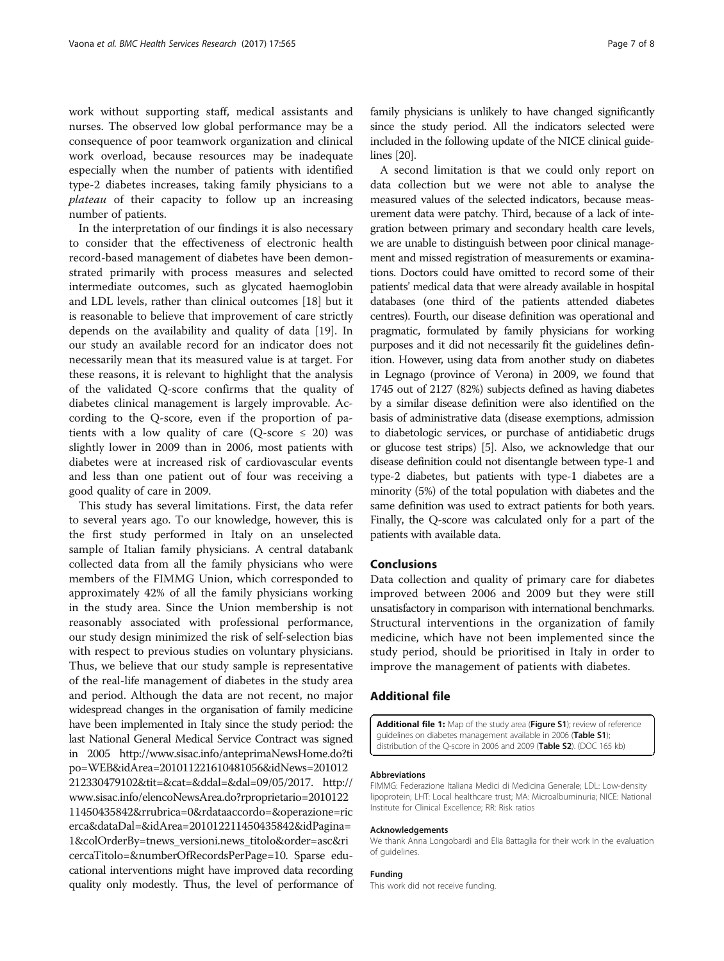<span id="page-6-0"></span>work without supporting staff, medical assistants and nurses. The observed low global performance may be a consequence of poor teamwork organization and clinical work overload, because resources may be inadequate especially when the number of patients with identified type-2 diabetes increases, taking family physicians to a plateau of their capacity to follow up an increasing number of patients.

In the interpretation of our findings it is also necessary to consider that the effectiveness of electronic health record-based management of diabetes have been demonstrated primarily with process measures and selected intermediate outcomes, such as glycated haemoglobin and LDL levels, rather than clinical outcomes [[18\]](#page-7-0) but it is reasonable to believe that improvement of care strictly depends on the availability and quality of data [\[19](#page-7-0)]. In our study an available record for an indicator does not necessarily mean that its measured value is at target. For these reasons, it is relevant to highlight that the analysis of the validated Q-score confirms that the quality of diabetes clinical management is largely improvable. According to the Q-score, even if the proportion of patients with a low quality of care (Q-score  $\leq$  20) was slightly lower in 2009 than in 2006, most patients with diabetes were at increased risk of cardiovascular events and less than one patient out of four was receiving a good quality of care in 2009.

This study has several limitations. First, the data refer to several years ago. To our knowledge, however, this is the first study performed in Italy on an unselected sample of Italian family physicians. A central databank collected data from all the family physicians who were members of the FIMMG Union, which corresponded to approximately 42% of all the family physicians working in the study area. Since the Union membership is not reasonably associated with professional performance, our study design minimized the risk of self-selection bias with respect to previous studies on voluntary physicians. Thus, we believe that our study sample is representative of the real-life management of diabetes in the study area and period. Although the data are not recent, no major widespread changes in the organisation of family medicine have been implemented in Italy since the study period: the last National General Medical Service Contract was signed in 2005 [http://www.sisac.info/anteprimaNewsHome.do?ti](http://www.sisac.info/anteprimaNewsHome.do?tipo=WEB&idArea=201011221610481056&idNews=201012212330479102&tit=&cat=&ddal=&dal=09/05/2017) [po=WEB&idArea=201011221610481056&idNews=201012](http://www.sisac.info/anteprimaNewsHome.do?tipo=WEB&idArea=201011221610481056&idNews=201012212330479102&tit=&cat=&ddal=&dal=09/05/2017) [212330479102&tit=&cat=&ddal=&dal=09/05/2017.](http://www.sisac.info/anteprimaNewsHome.do?tipo=WEB&idArea=201011221610481056&idNews=201012212330479102&tit=&cat=&ddal=&dal=09/05/2017) [http://](http://www.sisac.info/elencoNewsArea.do?rproprietario=201012211450435842&rrubrica=0&rdataaccordo=&operazione=ricerca&dataDal=&idArea=201012211450435842&idPagina=1&colOrderBy=tnews_versioni.news_titolo&order=asc&ricercaTitolo=&numberOfRecordsPerPage=10) [www.sisac.info/elencoNewsArea.do?rproprietario=2010122](http://www.sisac.info/elencoNewsArea.do?rproprietario=201012211450435842&rrubrica=0&rdataaccordo=&operazione=ricerca&dataDal=&idArea=201012211450435842&idPagina=1&colOrderBy=tnews_versioni.news_titolo&order=asc&ricercaTitolo=&numberOfRecordsPerPage=10) [11450435842&rrubrica=0&rdataaccordo=&operazione=ric](http://www.sisac.info/elencoNewsArea.do?rproprietario=201012211450435842&rrubrica=0&rdataaccordo=&operazione=ricerca&dataDal=&idArea=201012211450435842&idPagina=1&colOrderBy=tnews_versioni.news_titolo&order=asc&ricercaTitolo=&numberOfRecordsPerPage=10) [erca&dataDal=&idArea=201012211450435842&idPagina=](http://www.sisac.info/elencoNewsArea.do?rproprietario=201012211450435842&rrubrica=0&rdataaccordo=&operazione=ricerca&dataDal=&idArea=201012211450435842&idPagina=1&colOrderBy=tnews_versioni.news_titolo&order=asc&ricercaTitolo=&numberOfRecordsPerPage=10) [1&colOrderBy=tnews\\_versioni.news\\_titolo&order=asc&ri](http://www.sisac.info/elencoNewsArea.do?rproprietario=201012211450435842&rrubrica=0&rdataaccordo=&operazione=ricerca&dataDal=&idArea=201012211450435842&idPagina=1&colOrderBy=tnews_versioni.news_titolo&order=asc&ricercaTitolo=&numberOfRecordsPerPage=10) [cercaTitolo=&numberOfRecordsPerPage=10.](http://www.sisac.info/elencoNewsArea.do?rproprietario=201012211450435842&rrubrica=0&rdataaccordo=&operazione=ricerca&dataDal=&idArea=201012211450435842&idPagina=1&colOrderBy=tnews_versioni.news_titolo&order=asc&ricercaTitolo=&numberOfRecordsPerPage=10) Sparse educational interventions might have improved data recording quality only modestly. Thus, the level of performance of family physicians is unlikely to have changed significantly since the study period. All the indicators selected were included in the following update of the NICE clinical guidelines [\[20\]](#page-7-0).

A second limitation is that we could only report on data collection but we were not able to analyse the measured values of the selected indicators, because measurement data were patchy. Third, because of a lack of integration between primary and secondary health care levels, we are unable to distinguish between poor clinical management and missed registration of measurements or examinations. Doctors could have omitted to record some of their patients' medical data that were already available in hospital databases (one third of the patients attended diabetes centres). Fourth, our disease definition was operational and pragmatic, formulated by family physicians for working purposes and it did not necessarily fit the guidelines definition. However, using data from another study on diabetes in Legnago (province of Verona) in 2009, we found that 1745 out of 2127 (82%) subjects defined as having diabetes by a similar disease definition were also identified on the basis of administrative data (disease exemptions, admission to diabetologic services, or purchase of antidiabetic drugs or glucose test strips) [\[5\]](#page-7-0). Also, we acknowledge that our disease definition could not disentangle between type-1 and type-2 diabetes, but patients with type-1 diabetes are a minority (5%) of the total population with diabetes and the same definition was used to extract patients for both years. Finally, the Q-score was calculated only for a part of the patients with available data.

# Conclusions

Data collection and quality of primary care for diabetes improved between 2006 and 2009 but they were still unsatisfactory in comparison with international benchmarks. Structural interventions in the organization of family medicine, which have not been implemented since the study period, should be prioritised in Italy in order to improve the management of patients with diabetes.

# Additional file

[Additional file 1:](dx.doi.org/10.1186/s12913-017-2508-5) Map of the study area (Figure S1); review of reference guidelines on diabetes management available in 2006 (Table S1) distribution of the Q-score in 2006 and 2009 (Table S2). (DOC 165 kb)

#### Abbreviations

FIMMG: Federazione Italiana Medici di Medicina Generale; LDL: Low-density lipoprotein; LHT: Local healthcare trust; MA: Microalbuminuria; NICE: National Institute for Clinical Excellence; RR: Risk ratios

#### Acknowledgements

We thank Anna Longobardi and Elia Battaglia for their work in the evaluation of guidelines.

## Funding

This work did not receive funding.